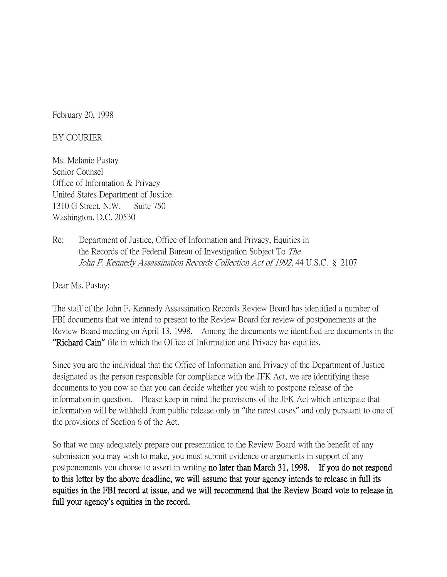February 20, 1998

## BY COURIER

Ms. Melanie Pustay Senior Counsel Office of Information & Privacy United States Department of Justice 1310 G Street, N.W. Suite 750 Washington, D.C. 20530

Re: Department of Justice, Office of Information and Privacy, Equities in the Records of the Federal Bureau of Investigation Subject To The John F. Kennedy Assassination Records Collection Act of 1992, 44 U.S.C. § 2107

Dear Ms. Pustay:

The staff of the John F. Kennedy Assassination Records Review Board has identified a number of FBI documents that we intend to present to the Review Board for review of postponements at the Review Board meeting on April 13, 1998. Among the documents we identified are documents in the **"**Richard Cain**"** file in which the Office of Information and Privacy has equities.

Since you are the individual that the Office of Information and Privacy of the Department of Justice designated as the person responsible for compliance with the JFK Act, we are identifying these documents to you now so that you can decide whether you wish to postpone release of the information in question. Please keep in mind the provisions of the JFK Act which anticipate that information will be withheld from public release only in "the rarest cases" and only pursuant to one of the provisions of Section 6 of the Act.

So that we may adequately prepare our presentation to the Review Board with the benefit of any submission you may wish to make, you must submit evidence or arguments in support of any postponements you choose to assert in writing no later than March 31, 1998. If you do not respond to this letter by the above deadline, we will assume that your agency intends to release in full its equities in the FBI record at issue, and we will recommend that the Review Board vote to release in full your agency**'**s equities in the record.